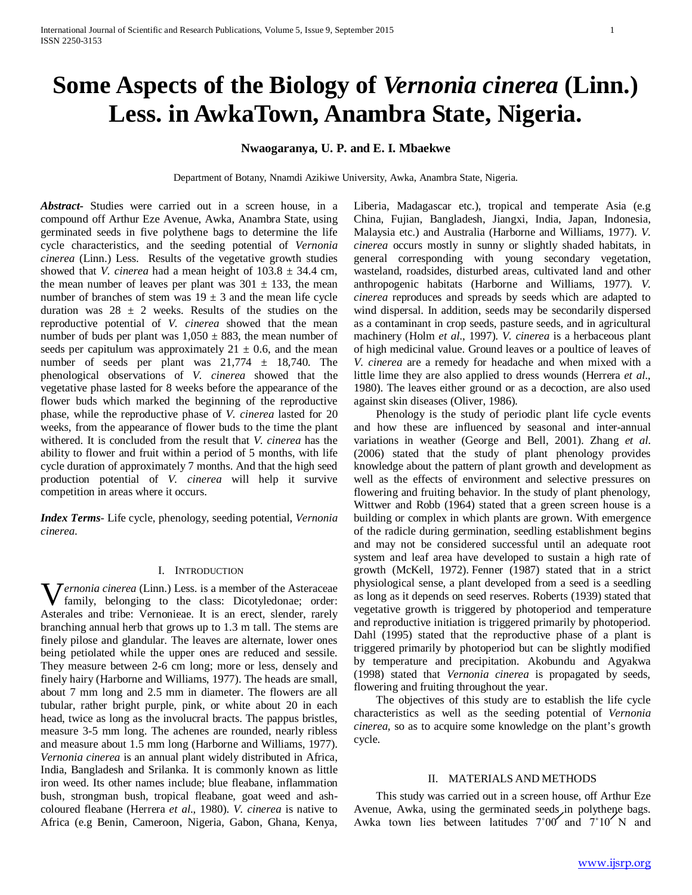# **Some Aspects of the Biology of** *Vernonia cinerea* **(Linn.) Less. in AwkaTown, Anambra State, Nigeria.**

## **Nwaogaranya, U. P. and E. I. Mbaekwe**

Department of Botany, Nnamdi Azikiwe University, Awka, Anambra State, Nigeria.

*Abstract***-** Studies were carried out in a screen house, in a compound off Arthur Eze Avenue, Awka, Anambra State, using germinated seeds in five polythene bags to determine the life cycle characteristics, and the seeding potential of *Vernonia cinerea* (Linn.) Less. Results of the vegetative growth studies showed that *V. cinerea* had a mean height of  $103.8 \pm 34.4$  cm, the mean number of leaves per plant was  $301 \pm 133$ , the mean number of branches of stem was  $19 \pm 3$  and the mean life cycle duration was  $28 \pm 2$  weeks. Results of the studies on the reproductive potential of *V. cinerea* showed that the mean number of buds per plant was  $1,050 \pm 883$ , the mean number of seeds per capitulum was approximately  $21 \pm 0.6$ , and the mean number of seeds per plant was  $21,774 \pm 18,740$ . The phenological observations of *V. cinerea* showed that the vegetative phase lasted for 8 weeks before the appearance of the flower buds which marked the beginning of the reproductive phase, while the reproductive phase of *V. cinerea* lasted for 20 weeks, from the appearance of flower buds to the time the plant withered. It is concluded from the result that *V. cinerea* has the ability to flower and fruit within a period of 5 months, with life cycle duration of approximately 7 months. And that the high seed production potential of *V. cinerea* will help it survive competition in areas where it occurs.

*Index Terms*- Life cycle, phenology, seeding potential, *Vernonia cinerea*.

#### I. INTRODUCTION

**W** ernonia cinerea (Linn.) Less. is a member of the Asteraceae family, belonging to the class: Dicotyledonae; order: family, belonging to the class: Dicotyledonae; order: Asterales and tribe: Vernonieae. It is an erect, slender, rarely branching annual herb that grows up to 1.3 m tall. The stems are finely pilose and glandular. The leaves are alternate, lower ones being petiolated while the upper ones are reduced and sessile. They measure between 2-6 cm long; more or less, densely and finely hairy (Harborne and Williams, 1977). The heads are small, about 7 mm long and 2.5 mm in diameter. The flowers are all tubular, rather bright purple, pink, or white about 20 in each head, twice as long as the involucral bracts. The pappus bristles, measure 3-5 mm long. The achenes are rounded, nearly ribless and measure about 1.5 mm long (Harborne and Williams, 1977). *Vernonia cinerea* is an annual plant widely distributed in Africa, India, Bangladesh and Srilanka. It is commonly known as little iron weed. Its other names include; blue fleabane, inflammation bush, strongman bush, tropical fleabane, goat weed and ashcoloured fleabane (Herrera *et al*., 1980). *V. cinerea* is native to Africa (e.g Benin, Cameroon, Nigeria, Gabon, Ghana, Kenya,

Liberia, Madagascar etc.), tropical and temperate Asia (e.g China, Fujian, Bangladesh, Jiangxi, India, Japan, Indonesia, Malaysia etc.) and Australia (Harborne and Williams, 1977). *V. cinerea* occurs mostly in sunny or slightly shaded habitats, in general corresponding with young secondary vegetation, wasteland, roadsides, disturbed areas, cultivated land and other anthropogenic habitats (Harborne and Williams, 1977). *V. cinerea* reproduces and spreads by seeds which are adapted to wind dispersal. In addition, seeds may be secondarily dispersed as a contaminant in crop seeds, pasture seeds, and in agricultural machinery (Holm *et al*., 1997). *V. cinerea* is a herbaceous plant of high medicinal value. Ground leaves or a poultice of leaves of *V. cinerea* are a remedy for headache and when mixed with a little lime they are also applied to dress wounds (Herrera *et al*., 1980). The leaves either ground or as a decoction, are also used against skin diseases (Oliver, 1986).

 Phenology is the study of periodic plant life cycle events and how these are influenced by seasonal and inter-annual variations in weather (George and Bell, 2001). Zhang *et al*. (2006) stated that the study of plant phenology provides knowledge about the pattern of plant growth and development as well as the effects of environment and selective pressures on flowering and fruiting behavior. In the study of plant phenology, Wittwer and Robb (1964) stated that a green screen house is a building or complex in which plants are grown. With emergence of the radicle during germination, seedling establishment begins and may not be considered successful until an adequate root system and leaf area have developed to sustain a high rate of growth (McKell, 1972). Fenner (1987) stated that in a strict physiological sense, a plant developed from a seed is a seedling as long as it depends on seed reserves. Roberts (1939) stated that vegetative growth is triggered by photoperiod and temperature and reproductive initiation is triggered primarily by photoperiod. Dahl (1995) stated that the reproductive phase of a plant is triggered primarily by photoperiod but can be slightly modified by temperature and precipitation. Akobundu and Agyakwa (1998) stated that *Vernonia cinerea* is propagated by seeds, flowering and fruiting throughout the year.

 The objectives of this study are to establish the life cycle characteristics as well as the seeding potential of *Vernonia cinerea,* so as to acquire some knowledge on the plant's growth cycle.

#### II. MATERIALS AND METHODS

 This study was carried out in a screen house, off Arthur Eze Avenue, Awka, using the germinated seeds in polythene bags. Awka town lies between latitudes  $7°00'$  and  $7°10'$  N and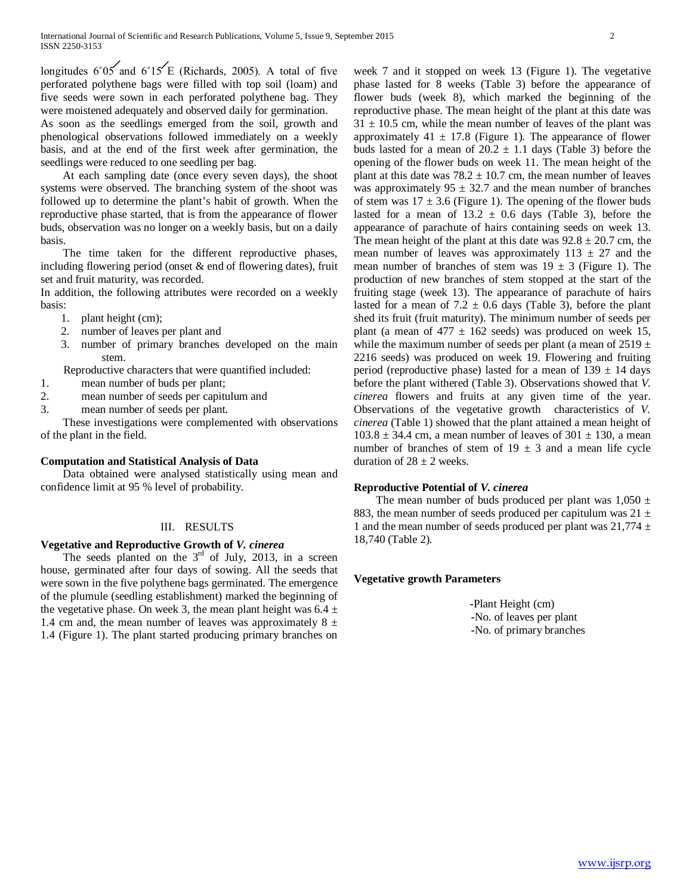longitudes  $6°05'$  and  $6°15'E$  (Richards, 2005). A total of five perforated polythene bags were filled with top soil (loam) and five seeds were sown in each perforated polythene bag. They were moistened adequately and observed daily for germination.

As soon as the seedlings emerged from the soil, growth and phenological observations followed immediately on a weekly basis, and at the end of the first week after germination, the seedlings were reduced to one seedling per bag.

 At each sampling date (once every seven days), the shoot systems were observed. The branching system of the shoot was followed up to determine the plant's habit of growth. When the reproductive phase started, that is from the appearance of flower buds, observation was no longer on a weekly basis, but on a daily basis.

 The time taken for the different reproductive phases, including flowering period (onset & end of flowering dates), fruit set and fruit maturity, was recorded.

In addition, the following attributes were recorded on a weekly basis:

- 1. plant height (cm);
- 2. number of leaves per plant and
- 3. number of primary branches developed on the main stem.

Reproductive characters that were quantified included:

- 1. mean number of buds per plant;
- 2. mean number of seeds per capitulum and
- 3. mean number of seeds per plant.

 These investigations were complemented with observations of the plant in the field.

## **Computation and Statistical Analysis of Data**

 Data obtained were analysed statistically using mean and confidence limit at 95 % level of probability.

## III. RESULTS

## **Vegetative and Reproductive Growth of** *V. cinerea*

The seeds planted on the  $3<sup>rd</sup>$  of July, 2013, in a screen house, germinated after four days of sowing. All the seeds that were sown in the five polythene bags germinated. The emergence of the plumule (seedling establishment) marked the beginning of the vegetative phase. On week 3, the mean plant height was  $6.4 \pm$ 1.4 cm and, the mean number of leaves was approximately  $8 \pm$ 1.4 (Figure 1). The plant started producing primary branches on

week 7 and it stopped on week 13 (Figure 1). The vegetative phase lasted for 8 weeks (Table 3) before the appearance of flower buds (week 8), which marked the beginning of the reproductive phase. The mean height of the plant at this date was  $31 \pm 10.5$  cm, while the mean number of leaves of the plant was approximately  $41 \pm 17.8$  (Figure 1). The appearance of flower buds lasted for a mean of  $20.2 \pm 1.1$  days (Table 3) before the opening of the flower buds on week 11. The mean height of the plant at this date was  $78.2 \pm 10.7$  cm, the mean number of leaves was approximately  $95 \pm 32.7$  and the mean number of branches of stem was  $17 \pm 3.6$  (Figure 1). The opening of the flower buds lasted for a mean of  $13.2 \pm 0.6$  days (Table 3), before the appearance of parachute of hairs containing seeds on week 13. The mean height of the plant at this date was  $92.8 \pm 20.7$  cm, the mean number of leaves was approximately  $113 \pm 27$  and the mean number of branches of stem was  $19 \pm 3$  (Figure 1). The production of new branches of stem stopped at the start of the fruiting stage (week 13). The appearance of parachute of hairs lasted for a mean of  $7.2 \pm 0.6$  days (Table 3), before the plant shed its fruit (fruit maturity). The minimum number of seeds per plant (a mean of  $477 \pm 162$  seeds) was produced on week 15, while the maximum number of seeds per plant (a mean of  $2519 \pm$ 2216 seeds) was produced on week 19. Flowering and fruiting period (reproductive phase) lasted for a mean of  $139 \pm 14$  days before the plant withered (Table 3). Observations showed that *V. cinerea* flowers and fruits at any given time of the year. Observations of the vegetative growth characteristics of *V. cinerea* (Table 1) showed that the plant attained a mean height of  $103.8 \pm 34.4$  cm, a mean number of leaves of  $301 \pm 130$ , a mean number of branches of stem of  $19 \pm 3$  and a mean life cycle duration of  $28 \pm 2$  weeks.

## **Reproductive Potential of** *V. cinerea*

The mean number of buds produced per plant was  $1,050 \pm 1$ 883, the mean number of seeds produced per capitulum was  $21 \pm$ 1 and the mean number of seeds produced per plant was  $21,774 \pm 1$ 18,740 (Table 2).

## **Vegetative growth Parameters**

 **-**Plant Height (cm)  **-**No. of leaves per plant  **-**No. of primary branches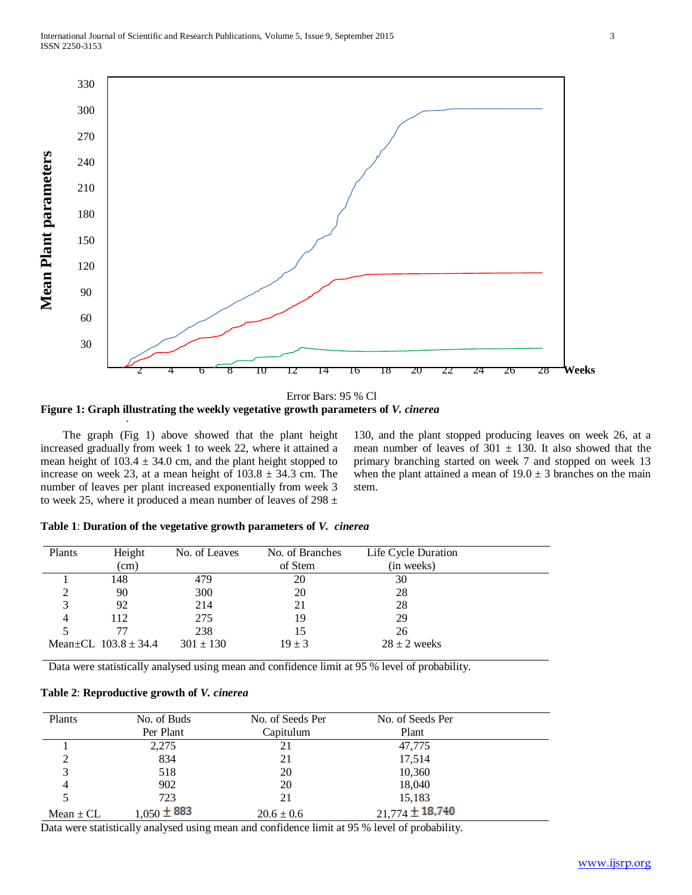

**Figure 1: Graph illustrating the weekly vegetative growth parameters of** *V. cinerea*

 The graph (Fig 1) above showed that the plant height increased gradually from week 1 to week 22, where it attained a mean height of  $103.4 \pm 34.0$  cm, and the plant height stopped to increase on week 23, at a mean height of  $103.8 \pm 34.3$  cm. The number of leaves per plant increased exponentially from week 3 to week 25, where it produced a mean number of leaves of 298  $\pm$ 

130, and the plant stopped producing leaves on week 26, at a mean number of leaves of  $301 \pm 130$ . It also showed that the primary branching started on week 7 and stopped on week 13 when the plant attained a mean of  $19.0 \pm 3$  branches on the main stem.

|  | Table 1: Duration of the vegetative growth parameters of V. cinerea |  |  |
|--|---------------------------------------------------------------------|--|--|
|--|---------------------------------------------------------------------|--|--|

| Plants | Height                         | No. of Leaves | No. of Branches | Life Cycle Duration |  |
|--------|--------------------------------|---------------|-----------------|---------------------|--|
|        | (cm)                           |               | of Stem         | (in weeks)          |  |
|        | 148                            | 479           | 20              | 30                  |  |
|        | 90                             | 300           | 20              | 28                  |  |
|        | 92                             | 214           | 21              | 28                  |  |
|        | 112                            | 275           | 19              | 29                  |  |
|        |                                | 238           | 15              | 26                  |  |
|        | Mean $\pm$ CL 103.8 $\pm$ 34.4 | $301 \pm 130$ | $19 \pm 3$      | $28 \pm 2$ weeks    |  |

Data were statistically analysed using mean and confidence limit at 95 % level of probability.

## **Table 2**: **Reproductive growth of** *V. cinerea*

| Plants        | No. of Buds     | No. of Seeds Per | No. of Seeds Per    |  |
|---------------|-----------------|------------------|---------------------|--|
|               | Per Plant       | Capitulum        | Plant               |  |
|               | 2,275           | 21               | 47,775              |  |
| $\gamma$      | 834             | 21               | 17,514              |  |
| 3             | 518             | 20               | 10,360              |  |
| 4             | 902             | 20               | 18,040              |  |
|               | 723             | 21               | 15,183              |  |
| Mean $\pm$ CL | $1,050 \pm 883$ | $20.6 \pm 0.6$   | $21,774 \pm 18.740$ |  |

Data were statistically analysed using mean and confidence limit at 95 % level of probability.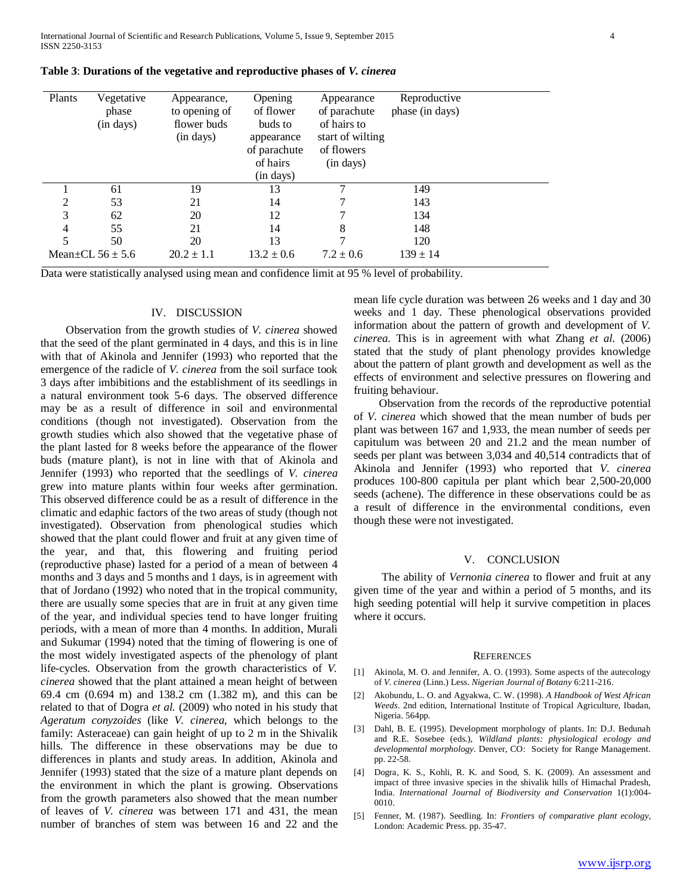International Journal of Scientific and Research Publications, Volume 5, Issue 9, September 2015 4 ISSN 2250-3153

| Plants | Vegetative<br>phase<br>(in days) | Appearance,<br>to opening of<br>flower buds<br>(in days) | Opening<br>of flower<br>buds to<br>appearance<br>of parachute<br>of hairs<br>(in days) | Appearance<br>of parachute<br>of hairs to<br>start of wilting<br>of flowers<br>(in days) | Reproductive<br>phase (in days) |  |
|--------|----------------------------------|----------------------------------------------------------|----------------------------------------------------------------------------------------|------------------------------------------------------------------------------------------|---------------------------------|--|
|        | 61                               | 19                                                       | 13                                                                                     |                                                                                          | 149                             |  |
| 2      | 53                               | 21                                                       | 14                                                                                     |                                                                                          | 143                             |  |
| 3      | 62                               | 20                                                       | 12                                                                                     |                                                                                          | 134                             |  |
| 4      | 55                               | 21                                                       | 14                                                                                     | 8                                                                                        | 148                             |  |
| 5      | 50                               | 20                                                       | 13                                                                                     |                                                                                          | 120                             |  |
|        | Mean $\pm$ CL 56 $\pm$ 5.6       | $20.2 \pm 1.1$                                           | $13.2 \pm 0.6$                                                                         | $7.2 \pm 0.6$                                                                            | $139 \pm 14$                    |  |

| Table 3: Durations of the vegetative and reproductive phases of V. cinerea |  |  |  |
|----------------------------------------------------------------------------|--|--|--|
|----------------------------------------------------------------------------|--|--|--|

Data were statistically analysed using mean and confidence limit at 95 % level of probability.

## IV. DISCUSSION

 Observation from the growth studies of *V. cinerea* showed that the seed of the plant germinated in 4 days, and this is in line with that of Akinola and Jennifer (1993) who reported that the emergence of the radicle of *V. cinerea* from the soil surface took 3 days after imbibitions and the establishment of its seedlings in a natural environment took 5-6 days. The observed difference may be as a result of difference in soil and environmental conditions (though not investigated). Observation from the growth studies which also showed that the vegetative phase of the plant lasted for 8 weeks before the appearance of the flower buds (mature plant), is not in line with that of Akinola and Jennifer (1993) who reported that the seedlings of *V. cinerea* grew into mature plants within four weeks after germination. This observed difference could be as a result of difference in the climatic and edaphic factors of the two areas of study (though not investigated). Observation from phenological studies which showed that the plant could flower and fruit at any given time of the year, and that, this flowering and fruiting period (reproductive phase) lasted for a period of a mean of between 4 months and 3 days and 5 months and 1 days, is in agreement with that of Jordano (1992) who noted that in the tropical community, there are usually some species that are in fruit at any given time of the year, and individual species tend to have longer fruiting periods, with a mean of more than 4 months. In addition, Murali and Sukumar (1994) noted that the timing of flowering is one of the most widely investigated aspects of the phenology of plant life-cycles. Observation from the growth characteristics of *V. cinerea* showed that the plant attained a mean height of between 69.4 cm (0.694 m) and 138.2 cm (1.382 m), and this can be related to that of Dogra *et al.* (2009) who noted in his study that *Ageratum conyzoides* (like *V. cinerea*, which belongs to the family: Asteraceae) can gain height of up to 2 m in the Shivalik hills. The difference in these observations may be due to differences in plants and study areas. In addition, Akinola and Jennifer (1993) stated that the size of a mature plant depends on the environment in which the plant is growing. Observations from the growth parameters also showed that the mean number of leaves of *V. cinerea* was between 171 and 431, the mean number of branches of stem was between 16 and 22 and the mean life cycle duration was between 26 weeks and 1 day and 30 weeks and 1 day. These phenological observations provided information about the pattern of growth and development of *V. cinerea*. This is in agreement with what Zhang *et al*. (2006) stated that the study of plant phenology provides knowledge about the pattern of plant growth and development as well as the effects of environment and selective pressures on flowering and fruiting behaviour.

 Observation from the records of the reproductive potential of *V. cinerea* which showed that the mean number of buds per plant was between 167 and 1,933, the mean number of seeds per capitulum was between 20 and 21.2 and the mean number of seeds per plant was between 3,034 and 40,514 contradicts that of Akinola and Jennifer (1993) who reported that *V*. *cinerea* produces 100-800 capitula per plant which bear 2,500-20,000 seeds (achene). The difference in these observations could be as a result of difference in the environmental conditions, even though these were not investigated.

#### V. CONCLUSION

 The ability of *Vernonia cinerea* to flower and fruit at any given time of the year and within a period of 5 months, and its high seeding potential will help it survive competition in places where it occurs.

## **REFERENCES**

- [1] Akinola, M. O. and Jennifer, A. O. (1993). Some aspects of the autecology of *V. cinerea* (Linn.) Less. *Nigerian Journal of Botany* 6:211-216.
- [2] Akobundu, L. O. and Agyakwa, C. W. (1998). *A Handbook of West African Weeds*. 2nd edition, International Institute of Tropical Agriculture, Ibadan, Nigeria. 564pp.
- [3] Dahl, B. E. (1995). Development morphology of plants. In: D.J. Bedunah and R.E. Sosebee (eds.), *Wildland plants: physiological ecology and developmental morphology*. Denver, CO: Society for Range Management. pp. 22-58.
- [4] Dogra, K. S., Kohli, R. K. and Sood, S. K. (2009). An assessment and impact of three invasive species in the shivalik hills of Himachal Pradesh, India. *International Journal of Biodiversity and Conservation* 1(1):004- 0010.
- [5] Fenner, M. (1987). Seedling. In: *Frontiers of comparative plant ecology*, London: Academic Press. pp. 35-47.